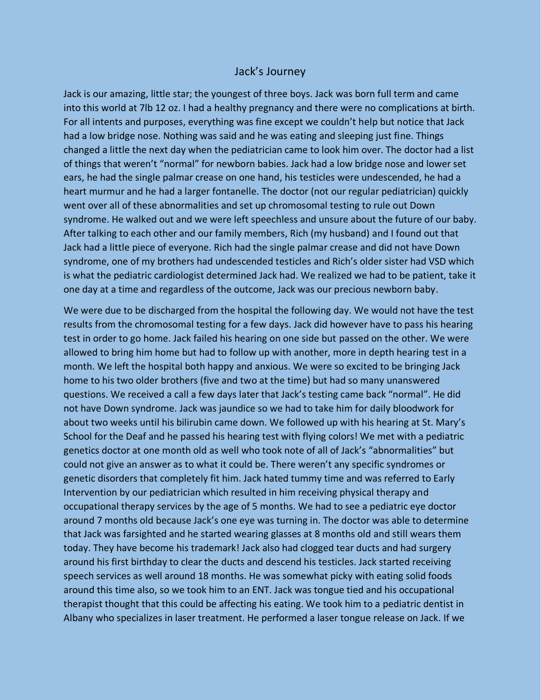## Jack's Journey

Jack is our amazing, little star; the youngest of three boys. Jack was born full term and came into this world at 7lb 12 oz. I had a healthy pregnancy and there were no complications at birth. For all intents and purposes, everything was fine except we couldn't help but notice that Jack had a low bridge nose. Nothing was said and he was eating and sleeping just fine. Things changed a little the next day when the pediatrician came to look him over. The doctor had a list of things that weren't "normal" for newborn babies. Jack had a low bridge nose and lower set ears, he had the single palmar crease on one hand, his testicles were undescended, he had a heart murmur and he had a larger fontanelle. The doctor (not our regular pediatrician) quickly went over all of these abnormalities and set up chromosomal testing to rule out Down syndrome. He walked out and we were left speechless and unsure about the future of our baby. After talking to each other and our family members, Rich (my husband) and I found out that Jack had a little piece of everyone. Rich had the single palmar crease and did not have Down syndrome, one of my brothers had undescended testicles and Rich's older sister had VSD which is what the pediatric cardiologist determined Jack had. We realized we had to be patient, take it one day at a time and regardless of the outcome, Jack was our precious newborn baby.

We were due to be discharged from the hospital the following day. We would not have the test results from the chromosomal testing for a few days. Jack did however have to pass his hearing test in order to go home. Jack failed his hearing on one side but passed on the other. We were allowed to bring him home but had to follow up with another, more in depth hearing test in a month. We left the hospital both happy and anxious. We were so excited to be bringing Jack home to his two older brothers (five and two at the time) but had so many unanswered questions. We received a call a few days later that Jack's testing came back "normal". He did not have Down syndrome. Jack was jaundice so we had to take him for daily bloodwork for about two weeks until his bilirubin came down. We followed up with his hearing at St. Mary's School for the Deaf and he passed his hearing test with flying colors! We met with a pediatric genetics doctor at one month old as well who took note of all of Jack's "abnormalities" but could not give an answer as to what it could be. There weren't any specific syndromes or genetic disorders that completely fit him. Jack hated tummy time and was referred to Early Intervention by our pediatrician which resulted in him receiving physical therapy and occupational therapy services by the age of 5 months. We had to see a pediatric eye doctor around 7 months old because Jack's one eye was turning in. The doctor was able to determine that Jack was farsighted and he started wearing glasses at 8 months old and still wears them today. They have become his trademark! Jack also had clogged tear ducts and had surgery around his first birthday to clear the ducts and descend his testicles. Jack started receiving speech services as well around 18 months. He was somewhat picky with eating solid foods around this time also, so we took him to an ENT. Jack was tongue tied and his occupational therapist thought that this could be affecting his eating. We took him to a pediatric dentist in Albany who specializes in laser treatment. He performed a laser tongue release on Jack. If we